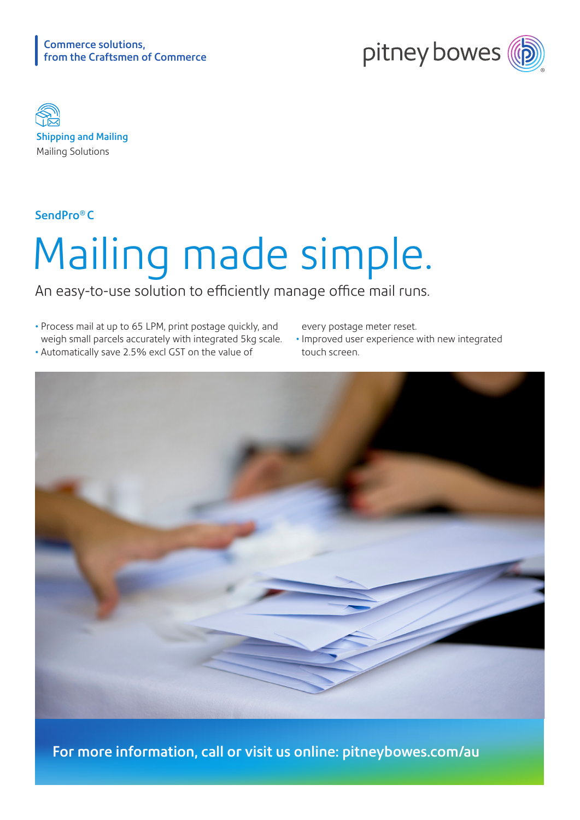



Shipping and Mailing Mailing Solutions

SendPro® C

## Mailing made simple.

An easy-to-use solution to efficiently manage office mail runs.

- Process mail at up to 65 LPM, print postage quickly, and weigh small parcels accurately with integrated 5kg scale. • Automatically save 2.5% excl GST on the value of
- every postage meter reset.
- Improved user experience with new integrated touch screen.



For more information, call or visit us online: [pitneybowes.com/au](http://pitneybowes.com/au)